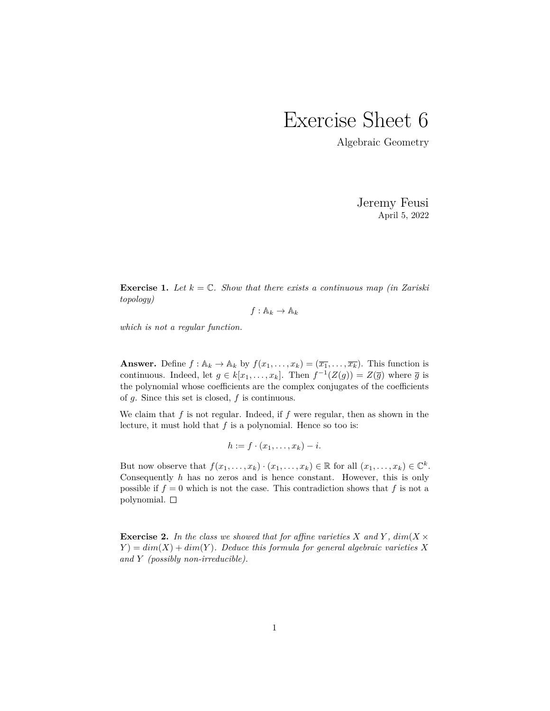## Exercise Sheet 6

Algebraic Geometry

Jeremy Feusi April 5, 2022

**Exercise 1.** Let  $k = \mathbb{C}$ . Show that there exists a continuous map (in Zariski) *topology)*

 $f: \mathbb{A}_k \to \mathbb{A}_k$ 

*which is not a regular function.*

**Answer.** Define  $f : \mathbb{A}_k \to \mathbb{A}_k$  by  $f(x_1, \ldots, x_k) = (\overline{x_1}, \ldots, \overline{x_k})$ . This function is continuous. Indeed, let  $g \in k[x_1, \ldots, x_k]$ . Then  $f^{-1}(Z(g)) = Z(\overline{g})$  where  $\overline{g}$  is the polynomial whose coefficients are the complex conjugates of the coefficients of *g*. Since this set is closed, *f* is continuous.

We claim that *f* is not regular. Indeed, if *f* were regular, then as shown in the lecture, it must hold that *f* is a polynomial. Hence so too is:

$$
h := f \cdot (x_1, \ldots, x_k) - i.
$$

But now observe that  $f(x_1, \ldots, x_k) \cdot (x_1, \ldots, x_k) \in \mathbb{R}$  for all  $(x_1, \ldots, x_k) \in \mathbb{C}^k$ . Consequently *h* has no zeros and is hence constant. However, this is only possible if  $f = 0$  which is not the case. This contradiction shows that  $f$  is not a polynomial.  $\square$ 

**Exercise 2.** In the class we showed that for affine varieties X and Y,  $dim(X \times$  $Y$ ) =  $dim(X) + dim(Y)$ *. Deduce this formula for general algebraic varieties X and Y (possibly non-irreducible).*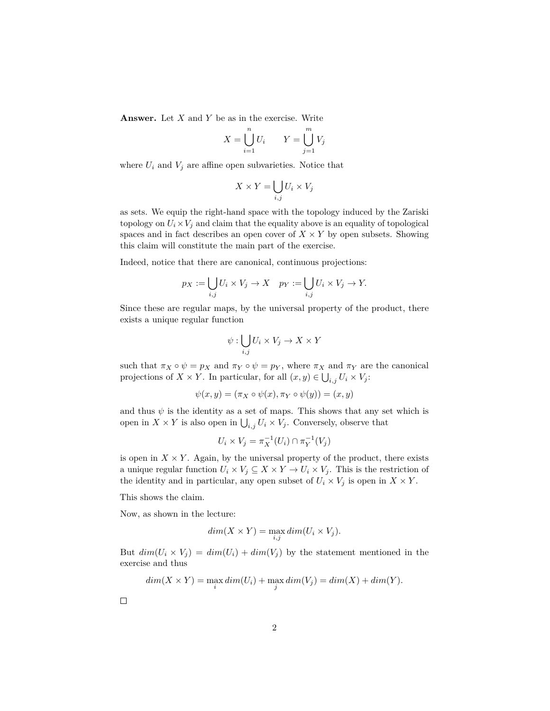**Answer.** Let *X* and *Y* be as in the exercise. Write

$$
X = \bigcup_{i=1}^{n} U_i \qquad Y = \bigcup_{j=1}^{m} V_j
$$

where  $U_i$  and  $V_j$  are affine open subvarieties. Notice that

$$
X \times Y = \bigcup_{i,j} U_i \times V_j
$$

as sets. We equip the right-hand space with the topology induced by the Zariski topology on  $U_i \times V_j$  and claim that the equality above is an equality of topological spaces and in fact describes an open cover of  $X \times Y$  by open subsets. Showing this claim will constitute the main part of the exercise.

Indeed, notice that there are canonical, continuous projections:

$$
p_X := \bigcup_{i,j} U_i \times V_j \to X \quad p_Y := \bigcup_{i,j} U_i \times V_j \to Y.
$$

Since these are regular maps, by the universal property of the product, there exists a unique regular function

$$
\psi: \bigcup_{i,j} U_i \times V_j \to X \times Y
$$

such that  $\pi_X \circ \psi = p_X$  and  $\pi_Y \circ \psi = p_Y$ , where  $\pi_X$  and  $\pi_Y$  are the canonical projections of *X* × *Y*. In particular, for all  $(x, y) \in \bigcup_{i,j} U_i \times V_j$ :

$$
\psi(x,y) = (\pi_X \circ \psi(x), \pi_Y \circ \psi(y)) = (x,y)
$$

and thus  $\psi$  is the identity as a set of maps. This shows that any set which is open in  $X \times Y$  is also open in  $\bigcup_{i,j} U_i \times V_j$ . Conversely, observe that

$$
U_i \times V_j = \pi_X^{-1}(U_i) \cap \pi_Y^{-1}(V_j)
$$

is open in  $X \times Y$ . Again, by the universal property of the product, there exists a unique regular function  $U_i \times V_j \subseteq X \times Y \to U_i \times V_j$ . This is the restriction of the identity and in particular, any open subset of  $U_i \times V_j$  is open in  $X \times Y$ .

This shows the claim.

Now, as shown in the lecture:

$$
dim(X \times Y) = \max_{i,j} dim(U_i \times V_j).
$$

But  $dim(U_i \times V_j) = dim(U_i) + dim(V_j)$  by the statement mentioned in the exercise and thus

$$
dim(X \times Y) = \max_{i} dim(U_i) + \max_{j} dim(V_j) = dim(X) + dim(Y).
$$

 $\Box$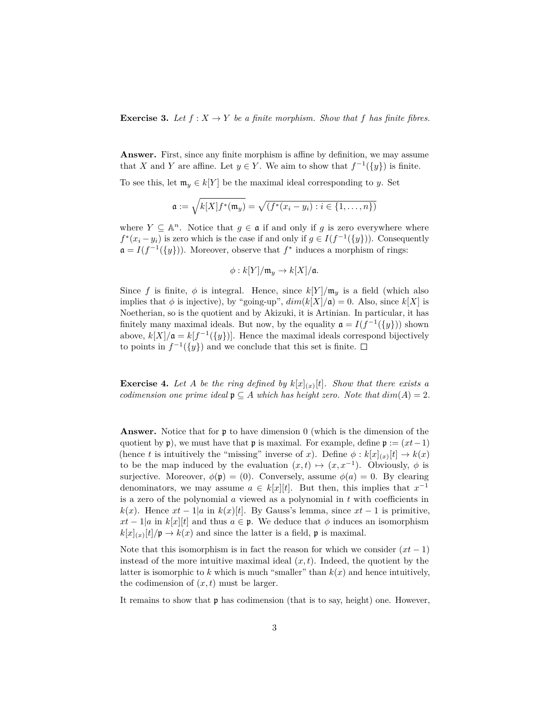**Exercise 3.** Let  $f: X \to Y$  be a finite morphism. Show that f has finite fibres.

**Answer.** First, since any finite morphism is affine by definition, we may assume that *X* and *Y* are affine. Let  $y \in Y$ . We aim to show that  $f^{-1}(\{y\})$  is finite.

To see this, let  $\mathfrak{m}_y \in k[Y]$  be the maximal ideal corresponding to *y*. Set

$$
\mathfrak{a} := \sqrt{k[X]f^*(\mathfrak{m}_y)} = \sqrt{(f^*(x_i - y_i) : i \in \{1, \dots, n\})}
$$

where  $Y \subseteq \mathbb{A}^n$ . Notice that  $g \in \mathfrak{a}$  if and only if g is zero everywhere where  $f^*(x_i - y_i)$  is zero which is the case if and only if  $g \in I(f^{-1}(\{y\}))$ . Consequently  $\mathfrak{a} = I(f^{-1}(\{y\}))$ . Moreover, observe that  $f^*$  induces a morphism of rings:

$$
\phi: k[Y]/\mathfrak{m}_y \to k[X]/\mathfrak{a}.
$$

Since *f* is finite,  $\phi$  is integral. Hence, since  $k[Y]/m_y$  is a field (which also implies that  $\phi$  is injective), by "going-up",  $dim(k[X]/\mathfrak{a}) = 0$ . Also, since  $k[X]$  is Noetherian, so is the quotient and by Akizuki, it is Artinian. In particular, it has finitely many maximal ideals. But now, by the equality  $a = I(f^{-1}(\{y\}))$  shown above,  $k[X]/\mathfrak{a} = k[f^{-1}(\{y\})]$ . Hence the maximal ideals correspond bijectively to points in  $f^{-1}(\{y\})$  and we conclude that this set is finite.

**Exercise 4.** Let A be the ring defined by  $k[x]_{(x)}[t]$ . Show that there exists a *codimension one prime ideal*  $\mathfrak{p} \subseteq A$  *which has height zero. Note that*  $dim(A) = 2$ *.* 

**Answer.** Notice that for p to have dimension 0 (which is the dimension of the quotient by p), we must have that p is maximal. For example, define  $p := (xt-1)$ (hence *t* is intuitively the "missing" inverse of *x*). Define  $\phi : k[x]_{(x)}[t] \to k(x)$ to be the map induced by the evaluation  $(x,t) \mapsto (x, x^{-1})$ . Obviously,  $\phi$  is surjective. Moreover,  $\phi(\mathfrak{p}) = (0)$ . Conversely, assume  $\phi(a) = 0$ . By clearing denominators, we may assume  $a \in k[x][t]$ . But then, this implies that  $x^{-1}$ is a zero of the polynomial *a* viewed as a polynomial in *t* with coefficients in *k*(*x*). Hence  $xt - 1/a$  in  $k(x)[t]$ . By Gauss's lemma, since  $xt - 1$  is primitive,  $xt - 1|a$  in  $k[x][t]$  and thus  $a \in \mathfrak{p}$ . We deduce that  $\phi$  induces an isomorphism  $k[x]_{(x)}[t]/\mathfrak{p} \to k(x)$  and since the latter is a field,  $\mathfrak{p}$  is maximal.

Note that this isomorphism is in fact the reason for which we consider  $(xt-1)$ instead of the more intuitive maximal ideal  $(x, t)$ . Indeed, the quotient by the latter is isomorphic to  $k$  which is much "smaller" than  $k(x)$  and hence intuitively, the codimension of  $(x, t)$  must be larger.

It remains to show that p has codimension (that is to say, height) one. However,